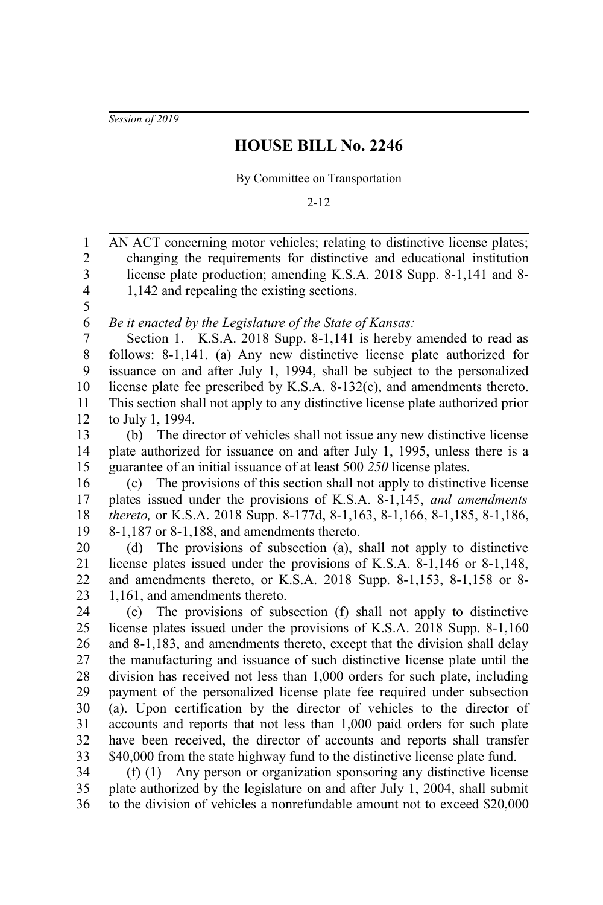*Session of 2019*

## **HOUSE BILL No. 2246**

By Committee on Transportation

2-12

AN ACT concerning motor vehicles; relating to distinctive license plates; changing the requirements for distinctive and educational institution license plate production; amending K.S.A. 2018 Supp. 8-1,141 and 8- 1,142 and repealing the existing sections. *Be it enacted by the Legislature of the State of Kansas:* Section 1. K.S.A. 2018 Supp. 8-1,141 is hereby amended to read as follows: 8-1,141. (a) Any new distinctive license plate authorized for issuance on and after July 1, 1994, shall be subject to the personalized license plate fee prescribed by K.S.A. 8-132(c), and amendments thereto. This section shall not apply to any distinctive license plate authorized prior to July 1, 1994. (b) The director of vehicles shall not issue any new distinctive license plate authorized for issuance on and after July 1, 1995, unless there is a guarantee of an initial issuance of at least 500 *250* license plates. (c) The provisions of this section shall not apply to distinctive license plates issued under the provisions of K.S.A. 8-1,145, *and amendments thereto,* or K.S.A. 2018 Supp. 8-177d, 8-1,163, 8-1,166, 8-1,185, 8-1,186, 8-1,187 or 8-1,188, and amendments thereto. (d) The provisions of subsection (a), shall not apply to distinctive license plates issued under the provisions of K.S.A. 8-1,146 or 8-1,148, and amendments thereto, or K.S.A. 2018 Supp. 8-1,153, 8-1,158 or 8- 1,161, and amendments thereto. (e) The provisions of subsection (f) shall not apply to distinctive license plates issued under the provisions of K.S.A. 2018 Supp. 8-1,160 and 8-1,183, and amendments thereto, except that the division shall delay the manufacturing and issuance of such distinctive license plate until the division has received not less than 1,000 orders for such plate, including payment of the personalized license plate fee required under subsection (a). Upon certification by the director of vehicles to the director of accounts and reports that not less than 1,000 paid orders for such plate have been received, the director of accounts and reports shall transfer \$40,000 from the state highway fund to the distinctive license plate fund. (f) (1) Any person or organization sponsoring any distinctive license plate authorized by the legislature on and after July 1, 2004, shall submit to the division of vehicles a nonrefundable amount not to exceed \$20,000 1 2 3 4 5 6 7 8 9 10 11 12 13 14 15 16 17 18 19 20 21 22 23 24 25 26 27 28 29 30 31 32 33 34 35 36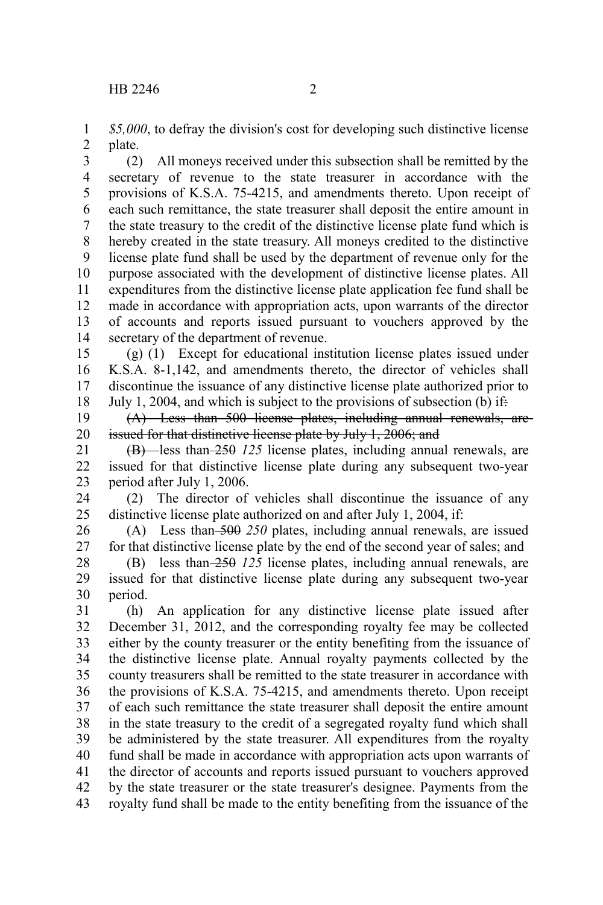*\$5,000*, to defray the division's cost for developing such distinctive license plate. 1 2

(2) All moneys received under this subsection shall be remitted by the secretary of revenue to the state treasurer in accordance with the provisions of K.S.A. 75-4215, and amendments thereto. Upon receipt of each such remittance, the state treasurer shall deposit the entire amount in the state treasury to the credit of the distinctive license plate fund which is hereby created in the state treasury. All moneys credited to the distinctive license plate fund shall be used by the department of revenue only for the purpose associated with the development of distinctive license plates. All expenditures from the distinctive license plate application fee fund shall be made in accordance with appropriation acts, upon warrants of the director of accounts and reports issued pursuant to vouchers approved by the secretary of the department of revenue. 3 4 5 6 7 8 9 10 11 12 13 14

(g) (1) Except for educational institution license plates issued under K.S.A. 8-1,142, and amendments thereto, the director of vehicles shall discontinue the issuance of any distinctive license plate authorized prior to July 1, 2004, and which is subject to the provisions of subsection (b) if: 15 16 17 18

(A) Less than 500 license plates, including annual renewals, are issued for that distinctive license plate by July 1, 2006; and 19 20

(B) less than 250 *125* license plates, including annual renewals, are issued for that distinctive license plate during any subsequent two-year period after July 1, 2006. 21 22 23

(2) The director of vehicles shall discontinue the issuance of any distinctive license plate authorized on and after July 1, 2004, if: 24 25

(A) Less than 500 *250* plates, including annual renewals, are issued for that distinctive license plate by the end of the second year of sales; and 26 27

(B) less than 250 *125* license plates, including annual renewals, are issued for that distinctive license plate during any subsequent two-year period. 28 29 30

(h) An application for any distinctive license plate issued after December 31, 2012, and the corresponding royalty fee may be collected either by the county treasurer or the entity benefiting from the issuance of the distinctive license plate. Annual royalty payments collected by the county treasurers shall be remitted to the state treasurer in accordance with the provisions of K.S.A. 75-4215, and amendments thereto. Upon receipt of each such remittance the state treasurer shall deposit the entire amount in the state treasury to the credit of a segregated royalty fund which shall be administered by the state treasurer. All expenditures from the royalty fund shall be made in accordance with appropriation acts upon warrants of the director of accounts and reports issued pursuant to vouchers approved by the state treasurer or the state treasurer's designee. Payments from the royalty fund shall be made to the entity benefiting from the issuance of the 31 32 33 34 35 36 37 38 39 40 41 42 43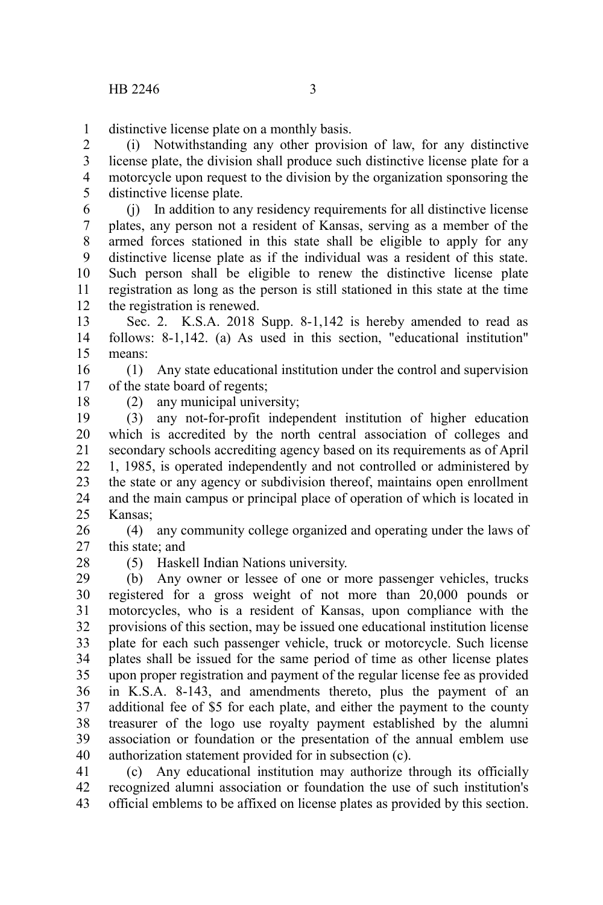distinctive license plate on a monthly basis. 1

(i) Notwithstanding any other provision of law, for any distinctive license plate, the division shall produce such distinctive license plate for a motorcycle upon request to the division by the organization sponsoring the distinctive license plate. 2 3 4 5

(j) In addition to any residency requirements for all distinctive license plates, any person not a resident of Kansas, serving as a member of the armed forces stationed in this state shall be eligible to apply for any distinctive license plate as if the individual was a resident of this state. Such person shall be eligible to renew the distinctive license plate registration as long as the person is still stationed in this state at the time the registration is renewed. 6 7 8 9 10 11 12

Sec. 2. K.S.A. 2018 Supp. 8-1,142 is hereby amended to read as follows: 8-1,142. (a) As used in this section, "educational institution" means: 13 14 15

(1) Any state educational institution under the control and supervision of the state board of regents; 16 17

18

(2) any municipal university;

(3) any not-for-profit independent institution of higher education which is accredited by the north central association of colleges and secondary schools accrediting agency based on its requirements as of April 1, 1985, is operated independently and not controlled or administered by the state or any agency or subdivision thereof, maintains open enrollment and the main campus or principal place of operation of which is located in Kansas; 19 20 21 22 23 24 25

(4) any community college organized and operating under the laws of this state; and 26 27

28

(5) Haskell Indian Nations university.

(b) Any owner or lessee of one or more passenger vehicles, trucks registered for a gross weight of not more than 20,000 pounds or motorcycles, who is a resident of Kansas, upon compliance with the provisions of this section, may be issued one educational institution license plate for each such passenger vehicle, truck or motorcycle. Such license plates shall be issued for the same period of time as other license plates upon proper registration and payment of the regular license fee as provided in K.S.A. 8-143, and amendments thereto, plus the payment of an additional fee of \$5 for each plate, and either the payment to the county treasurer of the logo use royalty payment established by the alumni association or foundation or the presentation of the annual emblem use authorization statement provided for in subsection (c). 29 30 31 32 33 34 35 36 37 38 39 40

(c) Any educational institution may authorize through its officially recognized alumni association or foundation the use of such institution's official emblems to be affixed on license plates as provided by this section. 41 42 43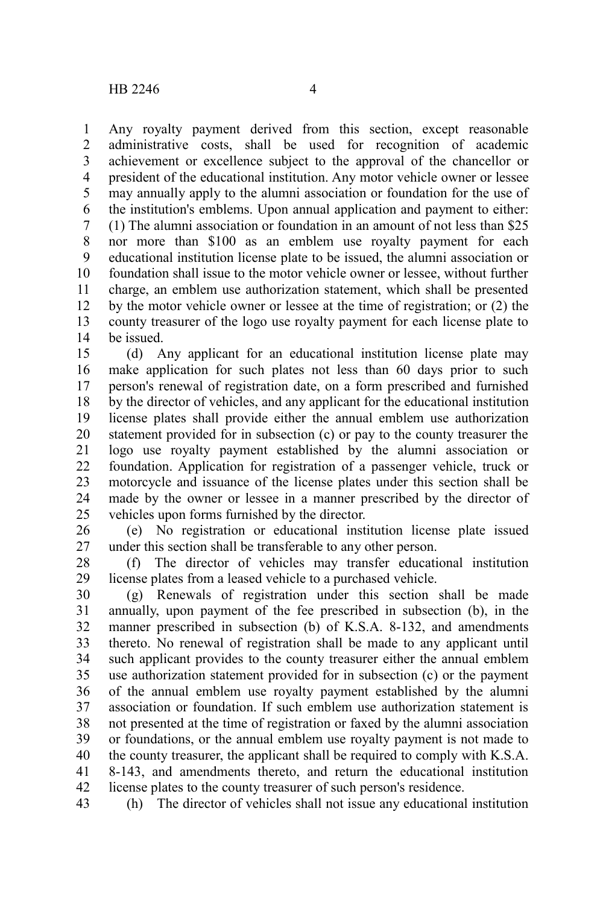Any royalty payment derived from this section, except reasonable administrative costs, shall be used for recognition of academic achievement or excellence subject to the approval of the chancellor or president of the educational institution. Any motor vehicle owner or lessee may annually apply to the alumni association or foundation for the use of the institution's emblems. Upon annual application and payment to either: (1) The alumni association or foundation in an amount of not less than \$25 nor more than \$100 as an emblem use royalty payment for each educational institution license plate to be issued, the alumni association or foundation shall issue to the motor vehicle owner or lessee, without further charge, an emblem use authorization statement, which shall be presented by the motor vehicle owner or lessee at the time of registration; or (2) the county treasurer of the logo use royalty payment for each license plate to be issued. 1 2 3 4 5 6 7 8 9 10 11 12 13 14

(d) Any applicant for an educational institution license plate may make application for such plates not less than 60 days prior to such person's renewal of registration date, on a form prescribed and furnished by the director of vehicles, and any applicant for the educational institution license plates shall provide either the annual emblem use authorization statement provided for in subsection (c) or pay to the county treasurer the logo use royalty payment established by the alumni association or foundation. Application for registration of a passenger vehicle, truck or motorcycle and issuance of the license plates under this section shall be made by the owner or lessee in a manner prescribed by the director of vehicles upon forms furnished by the director. 15 16 17 18 19 20 21 22 23 24 25

(e) No registration or educational institution license plate issued under this section shall be transferable to any other person. 26 27

(f) The director of vehicles may transfer educational institution license plates from a leased vehicle to a purchased vehicle. 28 29

(g) Renewals of registration under this section shall be made annually, upon payment of the fee prescribed in subsection (b), in the manner prescribed in subsection (b) of K.S.A. 8-132, and amendments thereto. No renewal of registration shall be made to any applicant until such applicant provides to the county treasurer either the annual emblem use authorization statement provided for in subsection (c) or the payment of the annual emblem use royalty payment established by the alumni association or foundation. If such emblem use authorization statement is not presented at the time of registration or faxed by the alumni association or foundations, or the annual emblem use royalty payment is not made to the county treasurer, the applicant shall be required to comply with K.S.A. 8-143, and amendments thereto, and return the educational institution license plates to the county treasurer of such person's residence. 30 31 32 33 34 35 36 37 38 39 40 41 42

(h) The director of vehicles shall not issue any educational institution 43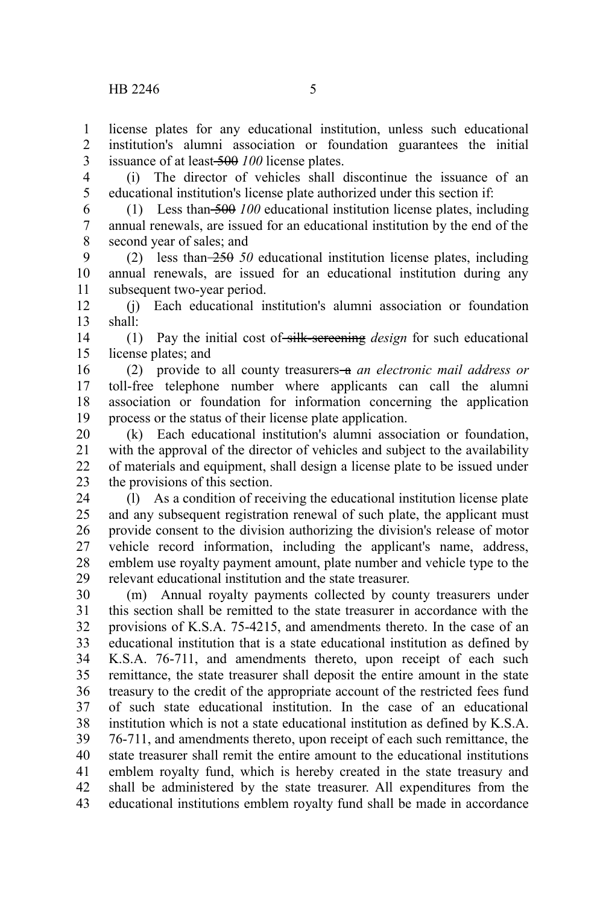license plates for any educational institution, unless such educational institution's alumni association or foundation guarantees the initial issuance of at least 500 *100* license plates. 1  $\mathfrak{D}$ 3

(i) The director of vehicles shall discontinue the issuance of an educational institution's license plate authorized under this section if: 4 5

(1) Less than 500 *100* educational institution license plates, including annual renewals, are issued for an educational institution by the end of the second year of sales; and 6 7 8

(2) less than 250 *50* educational institution license plates, including annual renewals, are issued for an educational institution during any subsequent two-year period. 9 10 11

(j) Each educational institution's alumni association or foundation shall: 12 13

(1) Pay the initial cost of silk-screening *design* for such educational license plates; and 14 15

(2) provide to all county treasurers a *an electronic mail address or* toll-free telephone number where applicants can call the alumni association or foundation for information concerning the application process or the status of their license plate application. 16 17 18 19

(k) Each educational institution's alumni association or foundation, with the approval of the director of vehicles and subject to the availability of materials and equipment, shall design a license plate to be issued under the provisions of this section. 20 21 22 23

(l) As a condition of receiving the educational institution license plate and any subsequent registration renewal of such plate, the applicant must provide consent to the division authorizing the division's release of motor vehicle record information, including the applicant's name, address, emblem use royalty payment amount, plate number and vehicle type to the relevant educational institution and the state treasurer. 24 25 26 27 28 29

(m) Annual royalty payments collected by county treasurers under this section shall be remitted to the state treasurer in accordance with the provisions of K.S.A. 75-4215, and amendments thereto. In the case of an educational institution that is a state educational institution as defined by K.S.A. 76-711, and amendments thereto, upon receipt of each such remittance, the state treasurer shall deposit the entire amount in the state treasury to the credit of the appropriate account of the restricted fees fund of such state educational institution. In the case of an educational institution which is not a state educational institution as defined by K.S.A. 76-711, and amendments thereto, upon receipt of each such remittance, the state treasurer shall remit the entire amount to the educational institutions emblem royalty fund, which is hereby created in the state treasury and shall be administered by the state treasurer. All expenditures from the educational institutions emblem royalty fund shall be made in accordance 30 31 32 33 34 35 36 37 38 39 40 41 42 43